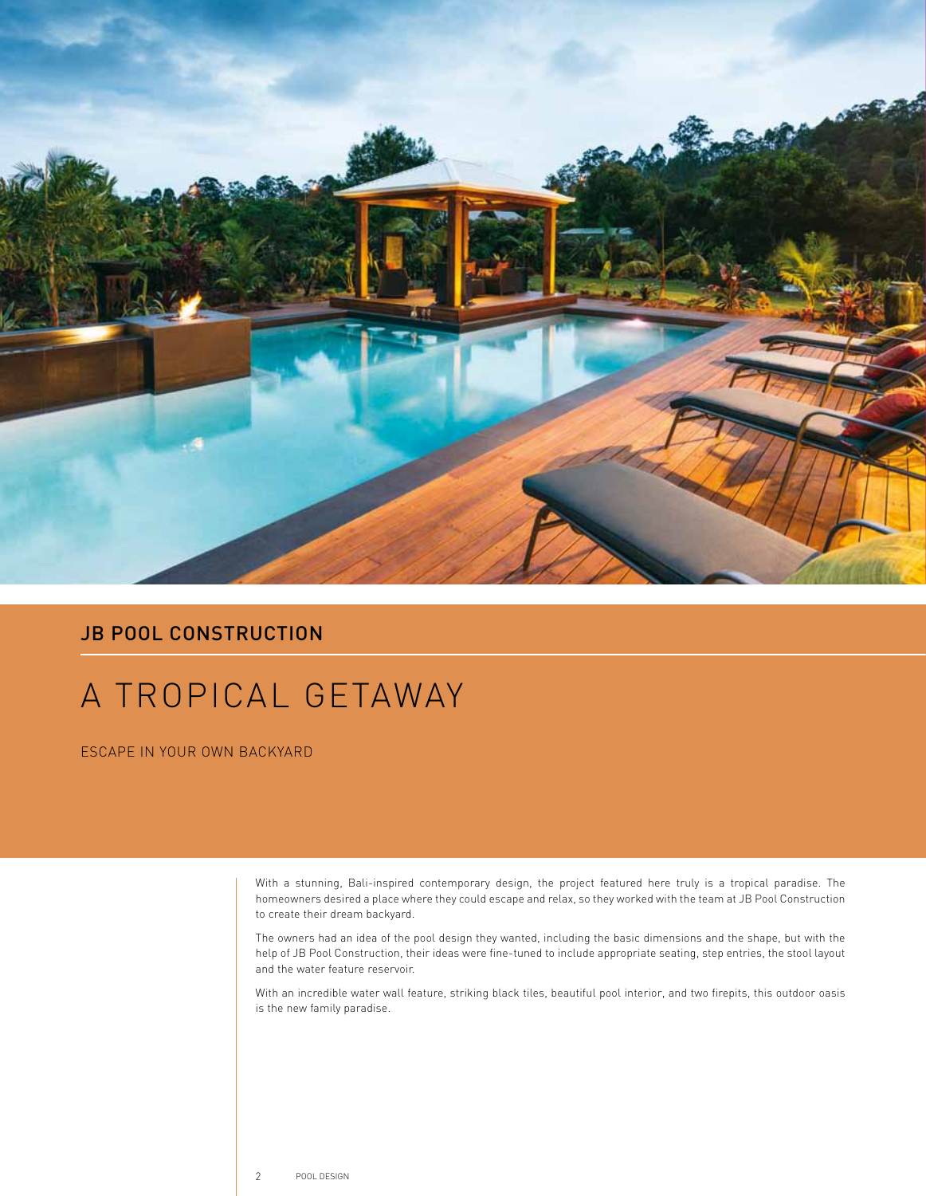

## **JB POOL CONSTRUCTION**

## A TROPICAL GETAWAY

ESCAPE IN YOUR OWN BACKYARD

With a stunning, Bali-inspired contemporary design, the project featured here truly is a tropical paradise. The homeowners desired a place where they could escape and relax, so they worked with the team at JB Pool Construction to create their dream backyard.

The owners had an idea of the pool design they wanted, including the basic dimensions and the shape, but with the help of JB Pool Construction, their ideas were fine-tuned to include appropriate seating, step entries, the stool layout and the water feature reservoir.

With an incredible water wall feature, striking black tiles, beautiful pool interior, and two firepits, this outdoor oasis is the new family paradise.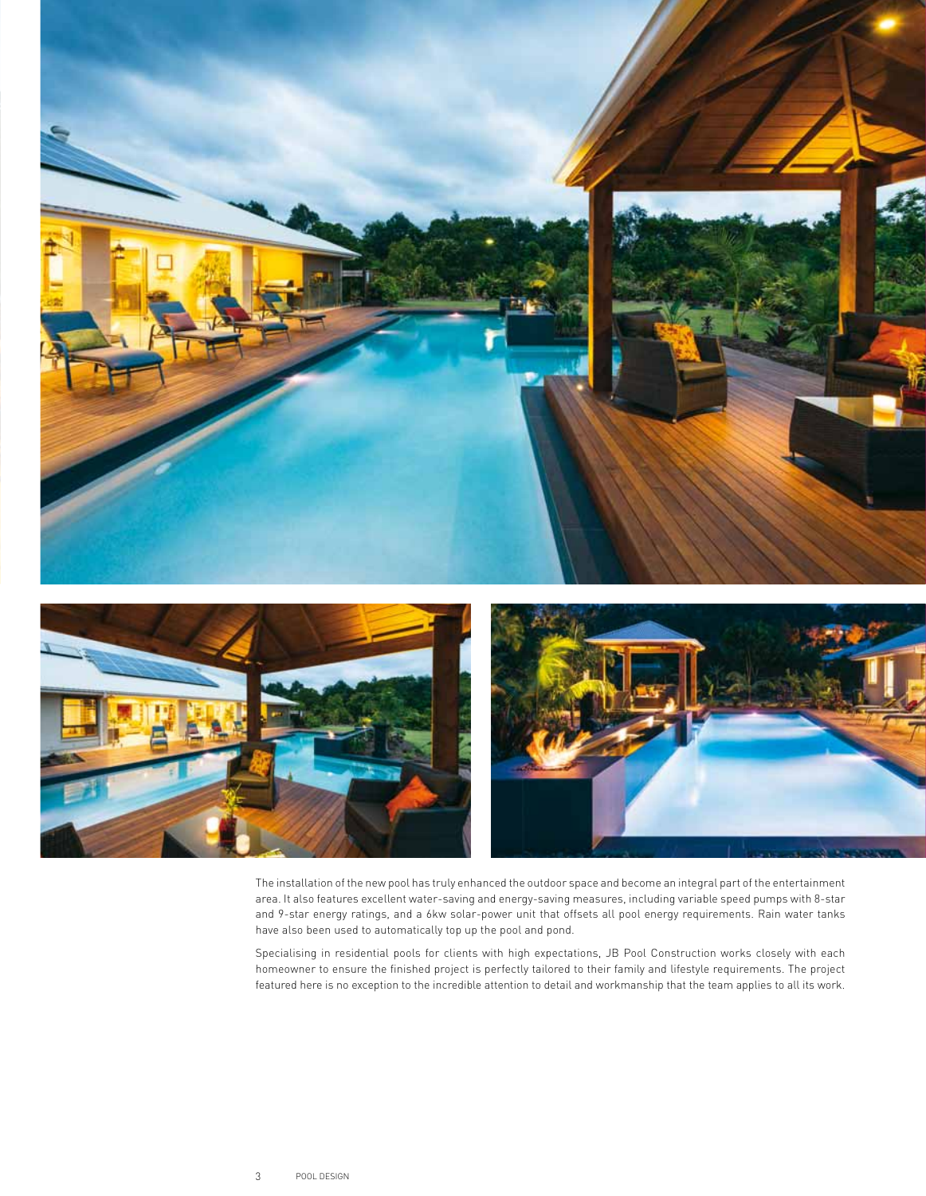

The installation of the new pool has truly enhanced the outdoor space and become an integral part of the entertainment area. It also features excellent water-saving and energy-saving measures, including variable speed pumps with 8-star and 9-star energy ratings, and a 6kw solar-power unit that offsets all pool energy requirements. Rain water tanks have also been used to automatically top up the pool and pond.

Specialising in residential pools for clients with high expectations, JB Pool Construction works closely with each homeowner to ensure the finished project is perfectly tailored to their family and lifestyle requirements. The project featured here is no exception to the incredible attention to detail and workmanship that the team applies to all its work.